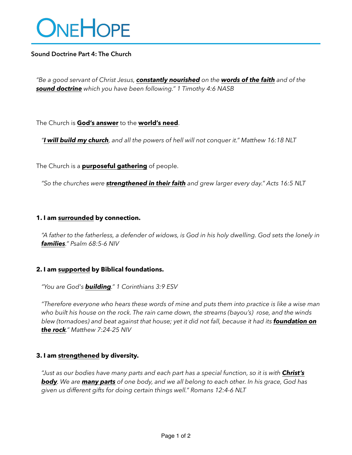# ONEHOPE

## **Sound Doctrine Part 4: The Church**

*"Be a good servant of Christ Jesus, constantly nourished on the words of the faith and of the sound doctrine which you have been following." 1 Timothy 4:6 NASB*

The Church is **God's answer** to the **world's need**.

*"I will build my church, and all the powers of hell will not conquer it." Matthew 16:18 NLT*

The Church is a **purposeful gathering** of people.

*"So the churches were strengthened in their faith and grew larger every day." Acts 16:5 NLT*

## **1. I am surrounded by connection.**

*"A father to the fatherless, a defender of widows, is God in his holy dwelling. God sets the lonely in families." Psalm 68:5-6 NIV*

## **2. I am supported by Biblical foundations.**

*"You are God's building." 1 Corinthians 3:9 ESV*

*"Therefore everyone who hears these words of mine and puts them into practice is like a wise man who built his house on the rock. The rain came down, the streams (bayou's) rose, and the winds blew (tornadoes) and beat against that house; yet it did not fall, because it had its foundation on the rock." Matthew 7:24-25 NIV*

## **3. I am strengthened by diversity.**

*"Just as our bodies have many parts and each part has a special function, so it is with Christ's body. We are many parts of one body, and we all belong to each other. In his grace, God has given us different gifts for doing certain things well." Romans 12:4-6 NLT*